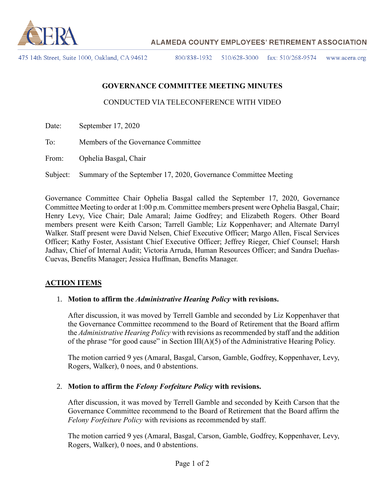

475 14th Street, Suite 1000, Oakland, CA 94612

800/838-1932 510/628-3000 fax:  $510/268 - 9574$ www.acera.org

# **GOVERNANCE COMMITTEE MEETING MINUTES**

### CONDUCTED VIA TELECONFERENCE WITH VIDEO

- Date: September 17, 2020
- To: Members of the Governance Committee
- From: Ophelia Basgal, Chair

Subject: Summary of the September 17, 2020, Governance Committee Meeting

Governance Committee Chair Ophelia Basgal called the September 17, 2020, Governance Committee Meeting to order at 1:00 p.m. Committee members present were Ophelia Basgal, Chair; Henry Levy, Vice Chair; Dale Amaral; Jaime Godfrey; and Elizabeth Rogers. Other Board members present were Keith Carson; Tarrell Gamble; Liz Koppenhaver; and Alternate Darryl Walker. Staff present were David Nelsen, Chief Executive Officer; Margo Allen, Fiscal Services Officer; Kathy Foster, Assistant Chief Executive Officer; Jeffrey Rieger, Chief Counsel; Harsh Jadhav, Chief of Internal Audit; Victoria Arruda, Human Resources Officer; and Sandra Dueñas-Cuevas, Benefits Manager; Jessica Huffman, Benefits Manager.

### **ACTION ITEMS**

#### 1. **Motion to affirm the** *Administrative Hearing Policy* **with revisions.**

After discussion, it was moved by Terrell Gamble and seconded by Liz Koppenhaver that the Governance Committee recommend to the Board of Retirement that the Board affirm the *Administrative Hearing Policy* with revisions as recommended by staff and the addition of the phrase "for good cause" in Section  $III(A)(5)$  of the Administrative Hearing Policy.

The motion carried 9 yes (Amaral, Basgal, Carson, Gamble, Godfrey, Koppenhaver, Levy, Rogers, Walker), 0 noes, and 0 abstentions.

#### 2. **Motion to affirm the** *Felony Forfeiture Policy* **with revisions.**

After discussion, it was moved by Terrell Gamble and seconded by Keith Carson that the Governance Committee recommend to the Board of Retirement that the Board affirm the *Felony Forfeiture Policy* with revisions as recommended by staff.

The motion carried 9 yes (Amaral, Basgal, Carson, Gamble, Godfrey, Koppenhaver, Levy, Rogers, Walker), 0 noes, and 0 abstentions.